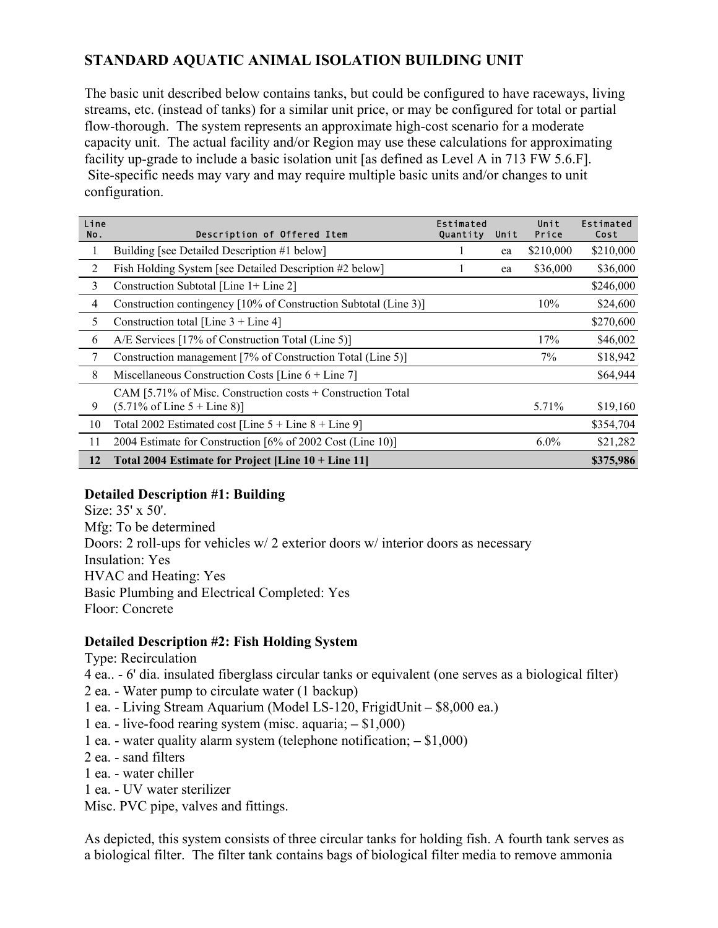## **STANDARD AQUATIC ANIMAL ISOLATION BUILDING UNIT**

The basic unit described below contains tanks, but could be configured to have raceways, living streams, etc. (instead of tanks) for a similar unit price, or may be configured for total or partial flow-thorough. The system represents an approximate high-cost scenario for a moderate capacity unit. The actual facility and/or Region may use these calculations for approximating facility up-grade to include a basic isolation unit [as defined as Level A in 713 FW 5.6.F]. Site-specific needs may vary and may require multiple basic units and/or changes to unit configuration.

| Line<br>No. | Description of Offered Item                                                                                      | Estimated<br>Quantity | Unit | Unit<br>Price | Estimated<br>Cost |
|-------------|------------------------------------------------------------------------------------------------------------------|-----------------------|------|---------------|-------------------|
| 1           | Building [see Detailed Description #1 below]                                                                     |                       | ea   | \$210,000     | \$210,000         |
| 2           | Fish Holding System [see Detailed Description #2 below]                                                          |                       | ea   | \$36,000      | \$36,000          |
| 3           | Construction Subtotal [Line 1+ Line 2]                                                                           |                       |      |               | \$246,000         |
| 4           | Construction contingency [10% of Construction Subtotal (Line 3)]                                                 |                       |      | 10%           | \$24,600          |
| 5           | Construction total [Line $3 +$ Line 4]                                                                           |                       |      |               | \$270,600         |
| 6           | A/E Services [17% of Construction Total (Line 5)]                                                                |                       |      | 17%           | \$46,002          |
| 7           | Construction management [7% of Construction Total (Line 5)]                                                      |                       |      | 7%            | \$18,942          |
| 8           | Miscellaneous Construction Costs [Line $6 +$ Line 7]                                                             |                       |      |               | \$64,944          |
| 9           | CAM [5.71% of Misc. Construction costs $+$ Construction Total<br>$(5.71\% \text{ of Line } 5 + \text{Line } 8)]$ |                       |      | 5.71%         | \$19,160          |
| 10          | Total 2002 Estimated cost [Line $5 +$ Line $8 +$ Line 9]                                                         |                       |      |               | \$354,704         |
| 11          | 2004 Estimate for Construction [6% of 2002 Cost (Line 10)]                                                       |                       |      | $6.0\%$       | \$21,282          |
| 12          | Total 2004 Estimate for Project [Line $10 +$ Line 11]                                                            |                       |      |               | \$375,986         |

## **Detailed Description #1: Building**

Size: 35' x 50'. Mfg: To be determined Doors: 2 roll-ups for vehicles w/ 2 exterior doors w/ interior doors as necessary Insulation: Yes HVAC and Heating: Yes Basic Plumbing and Electrical Completed: Yes Floor: Concrete

## **Detailed Description #2: Fish Holding System**

Type: Recirculation

4 ea.. - 6' dia. insulated fiberglass circular tanks or equivalent (one serves as a biological filter)

2 ea. - Water pump to circulate water (1 backup)

- 1 ea. Living Stream Aquarium (Model LS-120, FrigidUnit **–** \$8,000 ea.)
- 1 ea. live-food rearing system (misc. aquaria; **–** \$1,000)
- 1 ea. water quality alarm system (telephone notification; **–** \$1,000)
- 2 ea. sand filters
- 1 ea. water chiller
- 1 ea. UV water sterilizer

Misc. PVC pipe, valves and fittings.

As depicted, this system consists of three circular tanks for holding fish. A fourth tank serves as a biological filter. The filter tank contains bags of biological filter media to remove ammonia